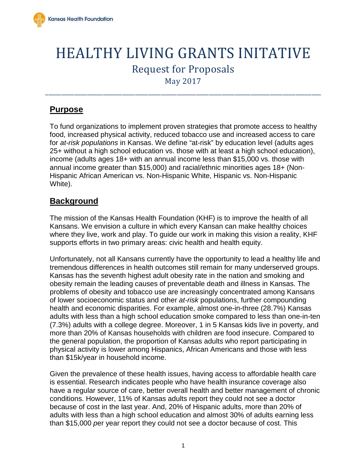

# HEALTHY LIVING GRANTS INITATIVE Request for Proposals May 2017

\_\_\_\_\_\_\_\_\_\_\_\_\_\_\_\_\_\_\_\_\_\_\_\_\_\_\_\_\_\_\_\_\_\_\_\_\_\_\_\_\_\_\_\_\_\_\_\_\_\_\_\_\_\_\_\_\_\_\_\_\_\_\_\_\_\_\_\_\_\_\_\_\_\_\_\_\_\_\_\_\_\_\_\_\_\_

# **Purpose**

To fund organizations to implement proven strategies that promote access to healthy food, increased physical activity, reduced tobacco use and increased access to care for *at-risk populations* in Kansas. We define "at-risk" by education level (adults ages 25+ without a high school education vs. those with at least a high school education), income (adults ages 18+ with an annual income less than \$15,000 vs. those with annual income greater than \$15,000) and racial/ethnic minorities ages 18+ (Non-Hispanic African American vs. Non-Hispanic White, Hispanic vs. Non-Hispanic White).

# **Background**

The mission of the Kansas Health Foundation (KHF) is to improve the health of all Kansans. We envision a culture in which every Kansan can make healthy choices where they live, work and play. To guide our work in making this vision a reality, KHF supports efforts in two primary areas: civic health and health equity.

Unfortunately, not all Kansans currently have the opportunity to lead a healthy life and tremendous differences in health outcomes still remain for many underserved groups. Kansas has the seventh highest adult obesity rate in the nation and smoking and obesity remain the leading causes of preventable death and illness in Kansas. The problems of obesity and tobacco use are increasingly concentrated among Kansans of lower socioeconomic status and other *at-risk* populations, further compounding health and economic disparities. For example, almost one-in-three (28.7%) Kansas adults with less than a high school education smoke compared to less than one-in-ten (7.3%) adults with a college degree. Moreover, 1 in 5 Kansas kids live in poverty, and more than 20% of Kansas households with children are food insecure. Compared to the general population, the proportion of Kansas adults who report participating in physical activity is lower among Hispanics, African Americans and those with less than \$15k/year in household income.

Given the prevalence of these health issues, having access to affordable health care is essential. Research indicates people who have health insurance coverage also have a regular source of care, better overall health and better management of chronic conditions. However, 11% of Kansas adults report they could not see a doctor because of cost in the last year. And, 20% of Hispanic adults, more than 20% of adults with less than a high school education and almost 30% of adults earning less than \$15,000 *p*er year report they could not see a doctor because of cost. This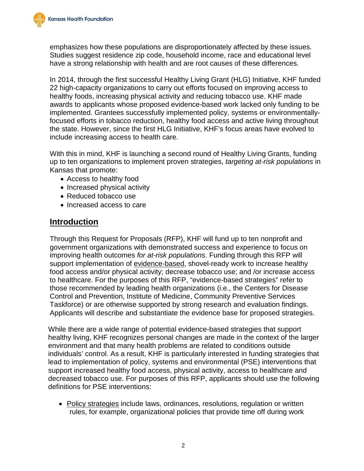emphasizes how these populations are disproportionately affected by these issues. Studies suggest residence zip code, household income, race and educational level have a strong relationship with health and are root causes of these differences.

In 2014, through the first successful Healthy Living Grant (HLG) Initiative, KHF funded 22 high-capacity organizations to carry out efforts focused on improving access to healthy foods, increasing physical activity and reducing tobacco use. KHF made awards to applicants whose proposed evidence-based work lacked only funding to be implemented. Grantees successfully implemented policy, systems or environmentallyfocused efforts in tobacco reduction, healthy food access and active living throughout the state. However, since the first HLG Initiative, KHF's focus areas have evolved to include increasing access to health care.

With this in mind, KHF is launching a second round of Healthy Living Grants, funding up to ten organizations to implement proven strategies, *targeting at-risk populations* in Kansas that promote:

- Access to healthy food
- Increased physical activity
- Reduced tobacco use
- Increased access to care

### **Introduction**

Through this Request for Proposals (RFP), KHF will fund up to ten nonprofit and government organizations with demonstrated success and experience to focus on improving health outcomes *for at-risk populations*. Funding through this RFP will support implementation of evidence-based, shovel-ready work to increase healthy food access and/or physical activity; decrease tobacco use; and /or increase access to healthcare. For the purposes of this RFP, "evidence-based strategies" refer to those recommended by leading health organizations (i.e., the Centers for Disease Control and Prevention, Institute of Medicine, Community Preventive Services Taskforce) or are otherwise supported by strong research and evaluation findings. Applicants will describe and substantiate the evidence base for proposed strategies.

While there are a wide range of potential evidence-based strategies that support healthy living, KHF recognizes personal changes are made in the context of the larger environment and that many health problems are related to conditions outside individuals' control. As a result, KHF is particularly interested in funding strategies that lead to implementation of policy, systems and environmental (PSE) interventions that support increased healthy food access, physical activity, access to healthcare and decreased tobacco use. For purposes of this RFP, applicants should use the following definitions for PSE interventions:

• Policy strategies include laws, ordinances, resolutions, regulation or written rules, for example, organizational policies that provide time off during work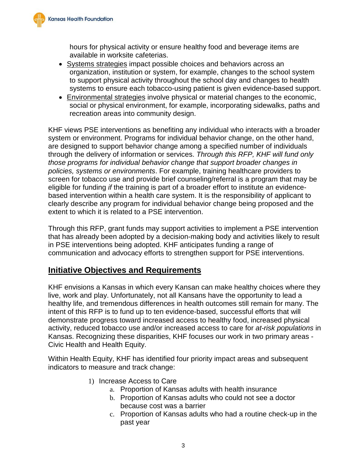hours for physical activity or ensure healthy food and beverage items are available in worksite cafeterias.

- Systems strategies impact possible choices and behaviors across an organization, institution or system, for example, changes to the school system to support physical activity throughout the school day and changes to health systems to ensure each tobacco-using patient is given evidence-based support.
- Environmental strategies involve physical or material changes to the economic, social or physical environment, for example, incorporating sidewalks, paths and recreation areas into community design.

KHF views PSE interventions as benefiting any individual who interacts with a broader system or environment. Programs for individual behavior change, on the other hand, are designed to support behavior change among a specified number of individuals through the delivery of information or services. *Through this RFP, KHF will fund only those programs for individual behavior change that support broader changes in policies, systems or environments*. For example, training healthcare providers to screen for tobacco use and provide brief counseling/referral is a program that may be eligible for funding *if* the training is part of a broader effort to institute an evidencebased intervention within a health care system. It is the responsibility of applicant to clearly describe any program for individual behavior change being proposed and the extent to which it is related to a PSE intervention.

Through this RFP, grant funds may support activities to implement a PSE intervention that has already been adopted by a decision-making body and activities likely to result in PSE interventions being adopted. KHF anticipates funding a range of communication and advocacy efforts to strengthen support for PSE interventions.

# **Initiative Objectives and Requirements**

KHF envisions a Kansas in which every Kansan can make healthy choices where they live, work and play. Unfortunately, not all Kansans have the opportunity to lead a healthy life, and tremendous differences in health outcomes still remain for many. The intent of this RFP is to fund up to ten evidence-based, successful efforts that will demonstrate progress toward increased access to healthy food, increased physical activity, reduced tobacco use and/or increased access to care for *at-risk populations* in Kansas. Recognizing these disparities, KHF focuses our work in two primary areas - Civic Health and Health Equity.

Within Health Equity, KHF has identified four priority impact areas and subsequent indicators to measure and track change:

- 1) Increase Access to Care
	- a. Proportion of Kansas adults with health insurance
	- b. Proportion of Kansas adults who could not see a doctor because cost was a barrier
	- c. Proportion of Kansas adults who had a routine check-up in the past year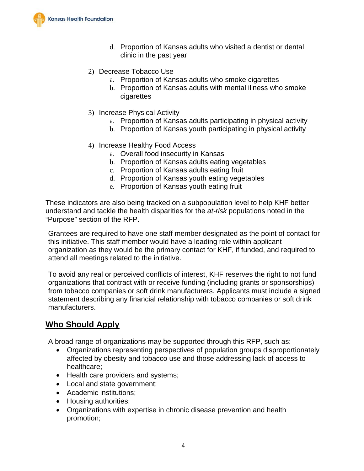

- d. Proportion of Kansas adults who visited a dentist or dental clinic in the past year
- 2) Decrease Tobacco Use
	- a. Proportion of Kansas adults who smoke cigarettes
	- b. Proportion of Kansas adults with mental illness who smoke cigarettes
- 3) Increase Physical Activity
	- a. Proportion of Kansas adults participating in physical activity
	- b. Proportion of Kansas youth participating in physical activity
- 4) Increase Healthy Food Access
	- a. Overall food insecurity in Kansas
	- b. Proportion of Kansas adults eating vegetables
	- c. Proportion of Kansas adults eating fruit
	- d. Proportion of Kansas youth eating vegetables
	- e. Proportion of Kansas youth eating fruit

These indicators are also being tracked on a subpopulation level to help KHF better understand and tackle the health disparities for the *at-risk* populations noted in the "Purpose" section of the RFP.

Grantees are required to have one staff member designated as the point of contact for this initiative. This staff member would have a leading role within applicant organization as they would be the primary contact for KHF, if funded, and required to attend all meetings related to the initiative.

To avoid any real or perceived conflicts of interest, KHF reserves the right to not fund organizations that contract with or receive funding (including grants or sponsorships) from tobacco companies or soft drink manufacturers. Applicants must include a signed statement describing any financial relationship with tobacco companies or soft drink manufacturers.

### **Who Should Apply**

A broad range of organizations may be supported through this RFP, such as:

- Organizations representing perspectives of population groups disproportionately affected by obesity and tobacco use and those addressing lack of access to healthcare;
- Health care providers and systems;
- Local and state government;
- Academic institutions;
- Housing authorities;
- Organizations with expertise in chronic disease prevention and health promotion;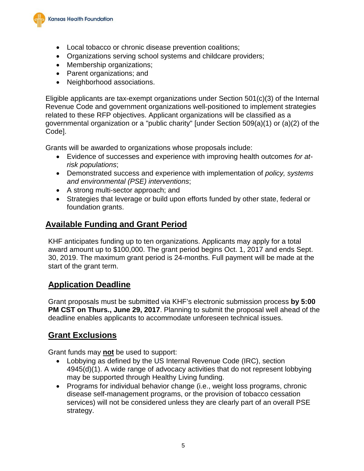

- Local tobacco or chronic disease prevention coalitions;
- Organizations serving school systems and childcare providers;
- Membership organizations;
- Parent organizations; and
- Neighborhood associations.

Eligible applicants are tax-exempt organizations under Section 501(c)(3) of the Internal Revenue Code and government organizations well-positioned to implement strategies related to these RFP objectives. Applicant organizations will be classified as a governmental organization or a "public charity" [under Section 509(a)(1) or (a)(2) of the Code].

Grants will be awarded to organizations whose proposals include:

- Evidence of successes and experience with improving health outcomes *for atrisk populations*;
- Demonstrated success and experience with implementation of *policy, systems and environmental (PSE) interventions*;
- A strong multi-sector approach; and
- Strategies that leverage or build upon efforts funded by other state, federal or foundation grants.

### **Available Funding and Grant Period**

KHF anticipates funding up to ten organizations. Applicants may apply for a total award amount up to \$100,000. The grant period begins Oct. 1, 2017 and ends Sept. 30, 2019. The maximum grant period is 24-months. Full payment will be made at the start of the grant term.

### **Application Deadline**

Grant proposals must be submitted via KHF's electronic submission process **by 5:00 PM CST on Thurs., June 29, 2017**. Planning to submit the proposal well ahead of the deadline enables applicants to accommodate unforeseen technical issues.

# **Grant Exclusions**

Grant funds may **not** be used to support:

- Lobbying as defined by the US Internal Revenue Code (IRC), section 4945(d)(1). A wide range of advocacy activities that do not represent lobbying may be supported through Healthy Living funding.
- Programs for individual behavior change (i.e., weight loss programs, chronic disease self-management programs, or the provision of tobacco cessation services) will not be considered unless they are clearly part of an overall PSE strategy.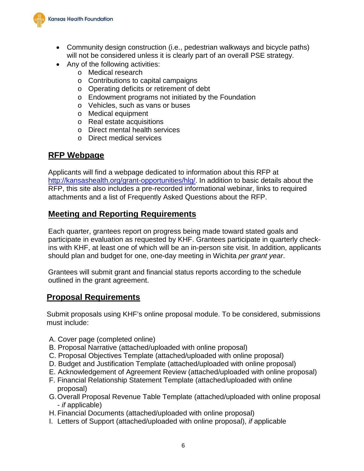

- Community design construction (i.e., pedestrian walkways and bicycle paths) will not be considered unless it is clearly part of an overall PSE strategy.
- Any of the following activities:
	- o Medical research
	- o Contributions to capital campaigns
	- o Operating deficits or retirement of debt
	- o Endowment programs not initiated by the Foundation
	- o Vehicles, such as vans or buses
	- o Medical equipment
	- o Real estate acquisitions
	- o Direct mental health services
	- o Direct medical services

### **RFP Webpage**

Applicants will find a webpage dedicated to information about this RFP at [http://kansashealth.org/grant-opportunities/hlg/.](http://kansashealth.org/grant-opportunities/hlg/) In addition to basic details about the RFP, this site also includes a pre-recorded informational webinar, links to required attachments and a list of Frequently Asked Questions about the RFP.

### **Meeting and Reporting Requirements**

Each quarter, grantees report on progress being made toward stated goals and participate in evaluation as requested by KHF. Grantees participate in quarterly checkins with KHF, at least one of which will be an in-person site visit. In addition, applicants should plan and budget for one, one-day meeting in Wichita *per grant year*.

Grantees will submit grant and financial status reports according to the schedule outlined in the grant agreement.

#### **Proposal Requirements**

Submit proposals using KHF's online proposal module. To be considered, submissions must include:

- A. Cover page (completed online)
- B. Proposal Narrative (attached/uploaded with online proposal)
- C. Proposal Objectives Template (attached/uploaded with online proposal)
- D. Budget and Justification Template (attached/uploaded with online proposal)
- E. Acknowledgement of Agreement Review (attached/uploaded with online proposal)
- F. Financial Relationship Statement Template (attached/uploaded with online proposal)
- G.Overall Proposal Revenue Table Template (attached/uploaded with online proposal - *if* applicable)
- H. Financial Documents (attached/uploaded with online proposal)
- I. Letters of Support (attached/uploaded with online proposal), *if* applicable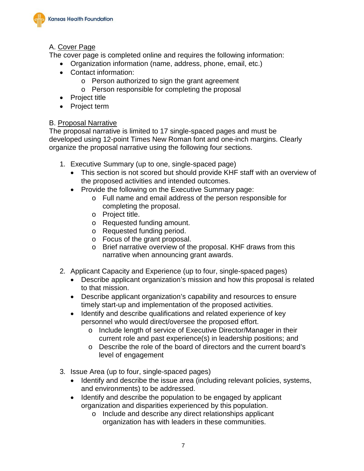

### A. Cover Page

The cover page is completed online and requires the following information:

- Organization information (name, address, phone, email, etc.)
- Contact information:
	- o Person authorized to sign the grant agreement
	- o Person responsible for completing the proposal
- Project title
- Project term

#### B. Proposal Narrative

The proposal narrative is limited to 17 single-spaced pages and must be developed using 12-point Times New Roman font and one-inch margins. Clearly organize the proposal narrative using the following four sections.

- 1. Executive Summary (up to one, single-spaced page)
	- This section is not scored but should provide KHF staff with an overview of the proposed activities and intended outcomes.
	- Provide the following on the Executive Summary page:
		- o Full name and email address of the person responsible for completing the proposal.
		- o Project title.
		- o Requested funding amount.
		- o Requested funding period.
		- o Focus of the grant proposal.
		- o Brief narrative overview of the proposal. KHF draws from this narrative when announcing grant awards.
- 2. Applicant Capacity and Experience (up to four, single-spaced pages)
	- Describe applicant organization's mission and how this proposal is related to that mission.
	- Describe applicant organization's capability and resources to ensure timely start-up and implementation of the proposed activities.
	- Identify and describe qualifications and related experience of key personnel who would direct/oversee the proposed effort.
		- o Include length of service of Executive Director/Manager in their current role and past experience(s) in leadership positions; and
		- o Describe the role of the board of directors and the current board's level of engagement
- 3. Issue Area (up to four, single-spaced pages)
	- Identify and describe the issue area (including relevant policies, systems, and environments) to be addressed.
	- Identify and describe the population to be engaged by applicant organization and disparities experienced by this population.
		- o Include and describe any direct relationships applicant organization has with leaders in these communities.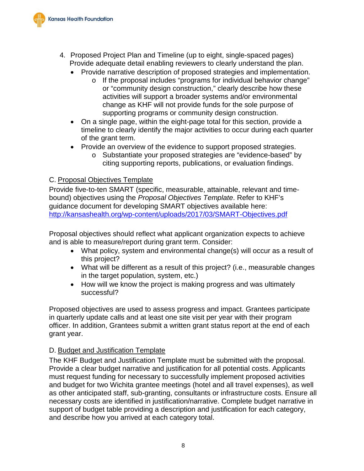

- 4. Proposed Project Plan and Timeline (up to eight, single-spaced pages) Provide adequate detail enabling reviewers to clearly understand the plan.
	- Provide narrative description of proposed strategies and implementation.
		- o If the proposal includes "programs for individual behavior change" or "community design construction," clearly describe how these activities will support a broader systems and/or environmental change as KHF will not provide funds for the sole purpose of supporting programs or community design construction.
	- On a single page, within the eight-page total for this section, provide a timeline to clearly identify the major activities to occur during each quarter of the grant term.
	- Provide an overview of the evidence to support proposed strategies.
		- o Substantiate your proposed strategies are "evidence-based" by citing supporting reports, publications, or evaluation findings.

#### C. Proposal Objectives Template

Provide five-to-ten SMART (specific, measurable, attainable, relevant and timebound) objectives using the *Proposal Objectives Template*. Refer to KHF's guidance document for developing SMART objectives available here: <http://kansashealth.org/wp-content/uploads/2017/03/SMART-Objectives.pdf>

Proposal objectives should reflect what applicant organization expects to achieve and is able to measure/report during grant term. Consider:

- What policy, system and environmental change(s) will occur as a result of this project?
- What will be different as a result of this project? (i.e., measurable changes in the target population, system, etc.)
- How will we know the project is making progress and was ultimately successful?

Proposed objectives are used to assess progress and impact. Grantees participate in quarterly update calls and at least one site visit per year with their program officer. In addition, Grantees submit a written grant status report at the end of each grant year.

#### D. Budget and Justification Template

The KHF Budget and Justification Template must be submitted with the proposal. Provide a clear budget narrative and justification for all potential costs. Applicants must request funding for necessary to successfully implement proposed activities and budget for two Wichita grantee meetings (hotel and all travel expenses), as well as other anticipated staff, sub-granting, consultants or infrastructure costs. Ensure all necessary costs are identified in justification/narrative. Complete budget narrative in support of budget table providing a description and justification for each category, and describe how you arrived at each category total.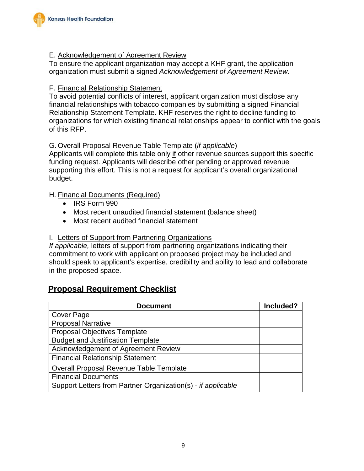

#### E. Acknowledgement of Agreement Review

To ensure the applicant organization may accept a KHF grant, the application organization must submit a signed *Acknowledgement of Agreement Review*.

#### F. Financial Relationship Statement

To avoid potential conflicts of interest, applicant organization must disclose any financial relationships with tobacco companies by submitting a signed Financial Relationship Statement Template. KHF reserves the right to decline funding to organizations for which existing financial relationships appear to conflict with the goals of this RFP.

#### G. Overall Proposal Revenue Table Template (*if applicable*)

Applicants will complete this table only if other revenue sources support this specific funding request. Applicants will describe other pending or approved revenue supporting this effort. This is not a request for applicant's overall organizational budget.

#### H. Financial Documents (Required)

- IRS Form 990
- Most recent unaudited financial statement (balance sheet)
- Most recent audited financial statement

#### I. Letters of Support from Partnering Organizations

*If applicable,* letters of support from partnering organizations indicating their commitment to work with applicant on proposed project may be included and should speak to applicant's expertise, credibility and ability to lead and collaborate in the proposed space.

# **Proposal Requirement Checklist**

| <b>Document</b>                                              | Included? |
|--------------------------------------------------------------|-----------|
| <b>Cover Page</b>                                            |           |
| <b>Proposal Narrative</b>                                    |           |
| <b>Proposal Objectives Template</b>                          |           |
| <b>Budget and Justification Template</b>                     |           |
| <b>Acknowledgement of Agreement Review</b>                   |           |
| <b>Financial Relationship Statement</b>                      |           |
| <b>Overall Proposal Revenue Table Template</b>               |           |
| <b>Financial Documents</b>                                   |           |
| Support Letters from Partner Organization(s) - if applicable |           |